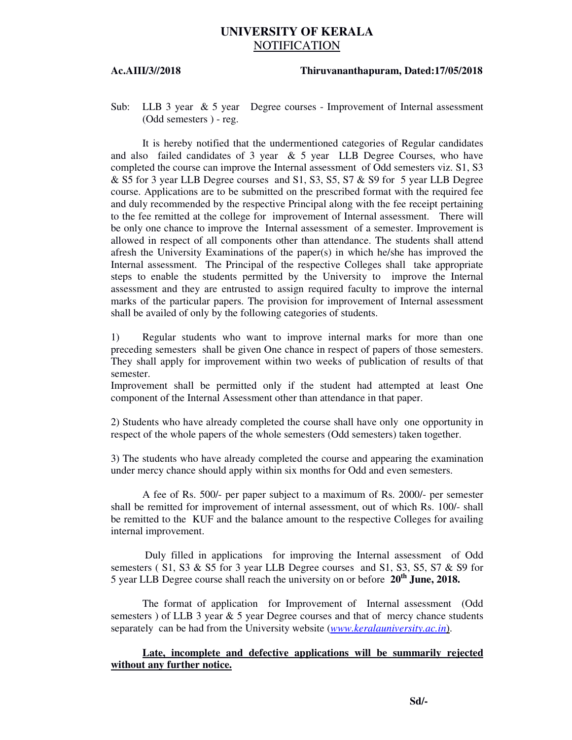## **UNIVERSITY OF KERALA** NOTIFICATION

## **Ac.AIII/3//2018 Thiruvananthapuram, Dated:17/05/2018**

Sub: LLB 3 year & 5 year Degree courses - Improvement of Internal assessment (Odd semesters ) - reg.

 It is hereby notified that the undermentioned categories of Regular candidates and also failed candidates of  $3 \text{ year}$  &  $5 \text{ year}$  LLB Degree Courses, who have completed the course can improve the Internal assessment of Odd semesters viz. S1, S3 & S5 for 3 year LLB Degree courses and S1, S3, S5, S7 & S9 for 5 year LLB Degree course. Applications are to be submitted on the prescribed format with the required fee and duly recommended by the respective Principal along with the fee receipt pertaining to the fee remitted at the college for improvement of Internal assessment. There will be only one chance to improve the Internal assessment of a semester. Improvement is allowed in respect of all components other than attendance. The students shall attend afresh the University Examinations of the paper(s) in which he/she has improved the Internal assessment. The Principal of the respective Colleges shall take appropriate steps to enable the students permitted by the University to improve the Internal assessment and they are entrusted to assign required faculty to improve the internal marks of the particular papers. The provision for improvement of Internal assessment shall be availed of only by the following categories of students.

1) Regular students who want to improve internal marks for more than one preceding semesters shall be given One chance in respect of papers of those semesters. They shall apply for improvement within two weeks of publication of results of that semester.

Improvement shall be permitted only if the student had attempted at least One component of the Internal Assessment other than attendance in that paper.

2) Students who have already completed the course shall have only one opportunity in respect of the whole papers of the whole semesters (Odd semesters) taken together.

3) The students who have already completed the course and appearing the examination under mercy chance should apply within six months for Odd and even semesters.

 A fee of Rs. 500/- per paper subject to a maximum of Rs. 2000/- per semester shall be remitted for improvement of internal assessment, out of which Rs. 100/- shall be remitted to the KUF and the balance amount to the respective Colleges for availing internal improvement.

 Duly filled in applications for improving the Internal assessment of Odd semesters  $(S1, S3 \& S5$  for 3 year LLB Degree courses and S1, S3, S5, S7  $\& S9$  for 5 year LLB Degree course shall reach the university on or before **20th June, 2018.**

 The format of application for Improvement of Internal assessment (Odd semesters) of LLB 3 year  $\&$  5 year Degree courses and that of mercy chance students separately can be had from the University website (*www.keralauniversity.ac.in*).

## **Late, incomplete and defective applications will be summarily rejected without any further notice.**